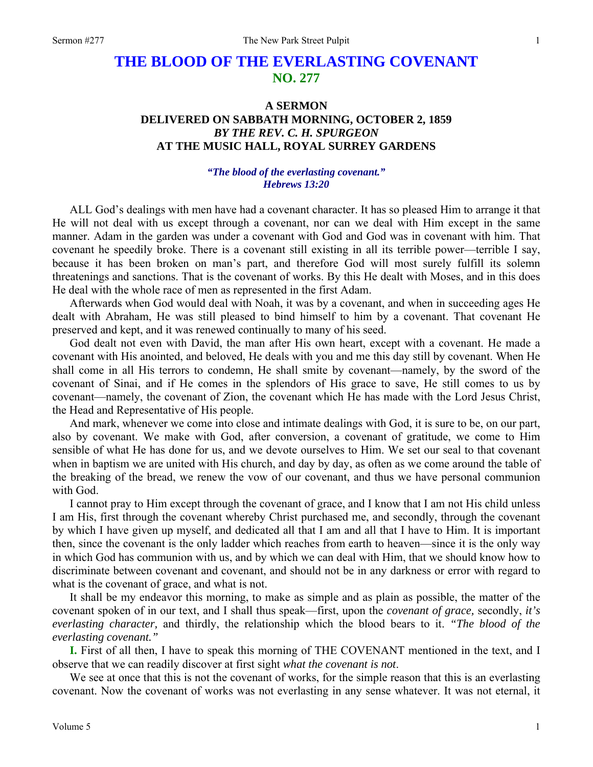# **THE BLOOD OF THE EVERLASTING COVENANT NO. 277**

# **A SERMON DELIVERED ON SABBATH MORNING, OCTOBER 2, 1859**  *BY THE REV. C. H. SPURGEON*  **AT THE MUSIC HALL, ROYAL SURREY GARDENS**

### *"The blood of the everlasting covenant." Hebrews 13:20*

ALL God's dealings with men have had a covenant character. It has so pleased Him to arrange it that He will not deal with us except through a covenant, nor can we deal with Him except in the same manner. Adam in the garden was under a covenant with God and God was in covenant with him. That covenant he speedily broke. There is a covenant still existing in all its terrible power—terrible I say, because it has been broken on man's part, and therefore God will most surely fulfill its solemn threatenings and sanctions. That is the covenant of works. By this He dealt with Moses, and in this does He deal with the whole race of men as represented in the first Adam.

Afterwards when God would deal with Noah, it was by a covenant, and when in succeeding ages He dealt with Abraham, He was still pleased to bind himself to him by a covenant. That covenant He preserved and kept, and it was renewed continually to many of his seed.

God dealt not even with David, the man after His own heart, except with a covenant. He made a covenant with His anointed, and beloved, He deals with you and me this day still by covenant. When He shall come in all His terrors to condemn, He shall smite by covenant—namely, by the sword of the covenant of Sinai, and if He comes in the splendors of His grace to save, He still comes to us by covenant—namely, the covenant of Zion, the covenant which He has made with the Lord Jesus Christ, the Head and Representative of His people.

And mark, whenever we come into close and intimate dealings with God, it is sure to be, on our part, also by covenant. We make with God, after conversion, a covenant of gratitude, we come to Him sensible of what He has done for us, and we devote ourselves to Him. We set our seal to that covenant when in baptism we are united with His church, and day by day, as often as we come around the table of the breaking of the bread, we renew the vow of our covenant, and thus we have personal communion with God.

I cannot pray to Him except through the covenant of grace, and I know that I am not His child unless I am His, first through the covenant whereby Christ purchased me, and secondly, through the covenant by which I have given up myself, and dedicated all that I am and all that I have to Him. It is important then, since the covenant is the only ladder which reaches from earth to heaven—since it is the only way in which God has communion with us, and by which we can deal with Him, that we should know how to discriminate between covenant and covenant, and should not be in any darkness or error with regard to what is the covenant of grace, and what is not.

It shall be my endeavor this morning, to make as simple and as plain as possible, the matter of the covenant spoken of in our text, and I shall thus speak—first, upon the *covenant of grace,* secondly, *it's everlasting character,* and thirdly, the relationship which the blood bears to it. *"The blood of the everlasting covenant."*

**I.** First of all then, I have to speak this morning of THE COVENANT mentioned in the text, and I observe that we can readily discover at first sight *what the covenant is not*.

We see at once that this is not the covenant of works, for the simple reason that this is an everlasting covenant. Now the covenant of works was not everlasting in any sense whatever. It was not eternal, it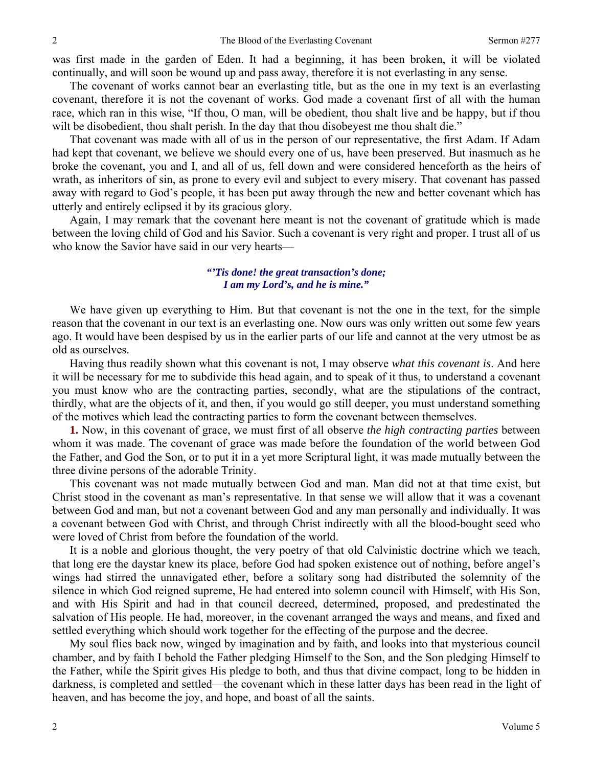was first made in the garden of Eden. It had a beginning, it has been broken, it will be violated continually, and will soon be wound up and pass away, therefore it is not everlasting in any sense.

The covenant of works cannot bear an everlasting title, but as the one in my text is an everlasting covenant, therefore it is not the covenant of works. God made a covenant first of all with the human race, which ran in this wise, "If thou, O man, will be obedient, thou shalt live and be happy, but if thou wilt be disobedient, thou shalt perish. In the day that thou disobeyest me thou shalt die."

That covenant was made with all of us in the person of our representative, the first Adam. If Adam had kept that covenant, we believe we should every one of us, have been preserved. But inasmuch as he broke the covenant, you and I, and all of us, fell down and were considered henceforth as the heirs of wrath, as inheritors of sin, as prone to every evil and subject to every misery. That covenant has passed away with regard to God's people, it has been put away through the new and better covenant which has utterly and entirely eclipsed it by its gracious glory.

Again, I may remark that the covenant here meant is not the covenant of gratitude which is made between the loving child of God and his Savior. Such a covenant is very right and proper. I trust all of us who know the Savior have said in our very hearts—

## *"'Tis done! the great transaction's done; I am my Lord's, and he is mine."*

We have given up everything to Him. But that covenant is not the one in the text, for the simple reason that the covenant in our text is an everlasting one. Now ours was only written out some few years ago. It would have been despised by us in the earlier parts of our life and cannot at the very utmost be as old as ourselves.

Having thus readily shown what this covenant is not, I may observe *what this covenant is*. And here it will be necessary for me to subdivide this head again, and to speak of it thus, to understand a covenant you must know who are the contracting parties, secondly, what are the stipulations of the contract, thirdly, what are the objects of it, and then, if you would go still deeper, you must understand something of the motives which lead the contracting parties to form the covenant between themselves.

**1.** Now, in this covenant of grace, we must first of all observe *the high contracting parties* between whom it was made. The covenant of grace was made before the foundation of the world between God the Father, and God the Son, or to put it in a yet more Scriptural light, it was made mutually between the three divine persons of the adorable Trinity.

This covenant was not made mutually between God and man. Man did not at that time exist, but Christ stood in the covenant as man's representative. In that sense we will allow that it was a covenant between God and man, but not a covenant between God and any man personally and individually. It was a covenant between God with Christ, and through Christ indirectly with all the blood-bought seed who were loved of Christ from before the foundation of the world.

It is a noble and glorious thought, the very poetry of that old Calvinistic doctrine which we teach, that long ere the daystar knew its place, before God had spoken existence out of nothing, before angel's wings had stirred the unnavigated ether, before a solitary song had distributed the solemnity of the silence in which God reigned supreme, He had entered into solemn council with Himself, with His Son, and with His Spirit and had in that council decreed, determined, proposed, and predestinated the salvation of His people. He had, moreover, in the covenant arranged the ways and means, and fixed and settled everything which should work together for the effecting of the purpose and the decree.

My soul flies back now, winged by imagination and by faith, and looks into that mysterious council chamber, and by faith I behold the Father pledging Himself to the Son, and the Son pledging Himself to the Father, while the Spirit gives His pledge to both, and thus that divine compact, long to be hidden in darkness, is completed and settled—the covenant which in these latter days has been read in the light of heaven, and has become the joy, and hope, and boast of all the saints.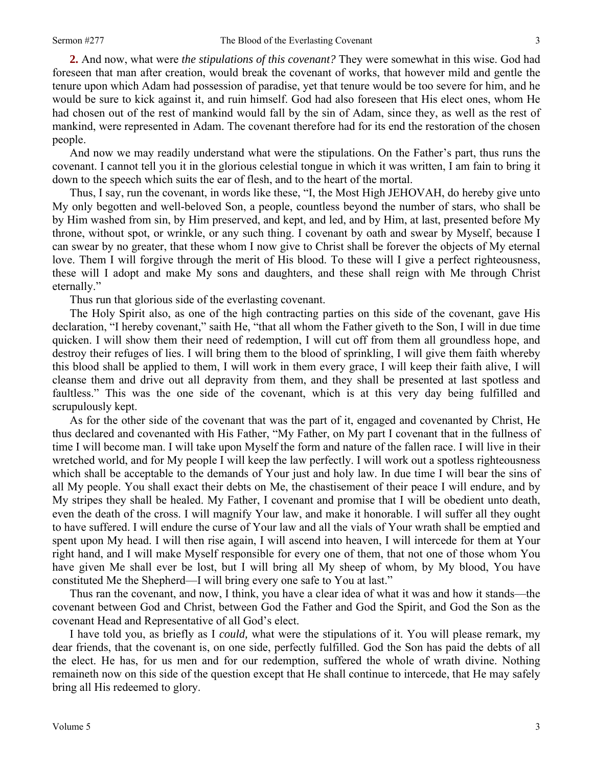**2.** And now, what were *the stipulations of this covenant?* They were somewhat in this wise. God had foreseen that man after creation, would break the covenant of works, that however mild and gentle the tenure upon which Adam had possession of paradise, yet that tenure would be too severe for him, and he would be sure to kick against it, and ruin himself. God had also foreseen that His elect ones, whom He had chosen out of the rest of mankind would fall by the sin of Adam, since they, as well as the rest of mankind, were represented in Adam. The covenant therefore had for its end the restoration of the chosen people.

And now we may readily understand what were the stipulations. On the Father's part, thus runs the covenant. I cannot tell you it in the glorious celestial tongue in which it was written, I am fain to bring it down to the speech which suits the ear of flesh, and to the heart of the mortal.

Thus, I say, run the covenant, in words like these, "I, the Most High JEHOVAH, do hereby give unto My only begotten and well-beloved Son, a people, countless beyond the number of stars, who shall be by Him washed from sin, by Him preserved, and kept, and led, and by Him, at last, presented before My throne, without spot, or wrinkle, or any such thing. I covenant by oath and swear by Myself, because I can swear by no greater, that these whom I now give to Christ shall be forever the objects of My eternal love. Them I will forgive through the merit of His blood. To these will I give a perfect righteousness, these will I adopt and make My sons and daughters, and these shall reign with Me through Christ eternally."

Thus run that glorious side of the everlasting covenant.

The Holy Spirit also, as one of the high contracting parties on this side of the covenant, gave His declaration, "I hereby covenant," saith He, "that all whom the Father giveth to the Son, I will in due time quicken. I will show them their need of redemption, I will cut off from them all groundless hope, and destroy their refuges of lies. I will bring them to the blood of sprinkling, I will give them faith whereby this blood shall be applied to them, I will work in them every grace, I will keep their faith alive, I will cleanse them and drive out all depravity from them, and they shall be presented at last spotless and faultless." This was the one side of the covenant, which is at this very day being fulfilled and scrupulously kept.

As for the other side of the covenant that was the part of it, engaged and covenanted by Christ, He thus declared and covenanted with His Father, "My Father, on My part I covenant that in the fullness of time I will become man. I will take upon Myself the form and nature of the fallen race. I will live in their wretched world, and for My people I will keep the law perfectly. I will work out a spotless righteousness which shall be acceptable to the demands of Your just and holy law. In due time I will bear the sins of all My people. You shall exact their debts on Me, the chastisement of their peace I will endure, and by My stripes they shall be healed. My Father, I covenant and promise that I will be obedient unto death, even the death of the cross. I will magnify Your law, and make it honorable. I will suffer all they ought to have suffered. I will endure the curse of Your law and all the vials of Your wrath shall be emptied and spent upon My head. I will then rise again, I will ascend into heaven, I will intercede for them at Your right hand, and I will make Myself responsible for every one of them, that not one of those whom You have given Me shall ever be lost, but I will bring all My sheep of whom, by My blood, You have constituted Me the Shepherd—I will bring every one safe to You at last."

Thus ran the covenant, and now, I think, you have a clear idea of what it was and how it stands—the covenant between God and Christ, between God the Father and God the Spirit, and God the Son as the covenant Head and Representative of all God's elect.

I have told you, as briefly as I *could,* what were the stipulations of it. You will please remark, my dear friends, that the covenant is, on one side, perfectly fulfilled. God the Son has paid the debts of all the elect. He has, for us men and for our redemption, suffered the whole of wrath divine. Nothing remaineth now on this side of the question except that He shall continue to intercede, that He may safely bring all His redeemed to glory.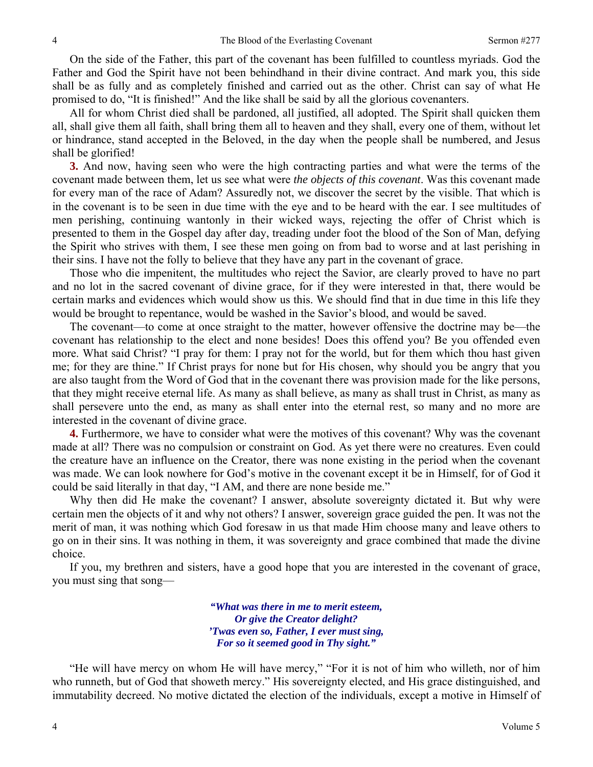On the side of the Father, this part of the covenant has been fulfilled to countless myriads. God the Father and God the Spirit have not been behindhand in their divine contract. And mark you, this side shall be as fully and as completely finished and carried out as the other. Christ can say of what He promised to do, "It is finished!" And the like shall be said by all the glorious covenanters.

All for whom Christ died shall be pardoned, all justified, all adopted. The Spirit shall quicken them all, shall give them all faith, shall bring them all to heaven and they shall, every one of them, without let or hindrance, stand accepted in the Beloved, in the day when the people shall be numbered, and Jesus shall be glorified!

**3.** And now, having seen who were the high contracting parties and what were the terms of the covenant made between them, let us see what were *the objects of this covenant*. Was this covenant made for every man of the race of Adam? Assuredly not, we discover the secret by the visible. That which is in the covenant is to be seen in due time with the eye and to be heard with the ear. I see multitudes of men perishing, continuing wantonly in their wicked ways, rejecting the offer of Christ which is presented to them in the Gospel day after day, treading under foot the blood of the Son of Man, defying the Spirit who strives with them, I see these men going on from bad to worse and at last perishing in their sins. I have not the folly to believe that they have any part in the covenant of grace.

Those who die impenitent, the multitudes who reject the Savior, are clearly proved to have no part and no lot in the sacred covenant of divine grace, for if they were interested in that, there would be certain marks and evidences which would show us this. We should find that in due time in this life they would be brought to repentance, would be washed in the Savior's blood, and would be saved.

The covenant—to come at once straight to the matter, however offensive the doctrine may be—the covenant has relationship to the elect and none besides! Does this offend you? Be you offended even more. What said Christ? "I pray for them: I pray not for the world, but for them which thou hast given me; for they are thine." If Christ prays for none but for His chosen, why should you be angry that you are also taught from the Word of God that in the covenant there was provision made for the like persons, that they might receive eternal life. As many as shall believe, as many as shall trust in Christ, as many as shall persevere unto the end, as many as shall enter into the eternal rest, so many and no more are interested in the covenant of divine grace.

**4.** Furthermore, we have to consider what were the motives of this covenant? Why was the covenant made at all? There was no compulsion or constraint on God. As yet there were no creatures. Even could the creature have an influence on the Creator, there was none existing in the period when the covenant was made. We can look nowhere for God's motive in the covenant except it be in Himself, for of God it could be said literally in that day, "I AM, and there are none beside me."

Why then did He make the covenant? I answer, absolute sovereignty dictated it. But why were certain men the objects of it and why not others? I answer, sovereign grace guided the pen. It was not the merit of man, it was nothing which God foresaw in us that made Him choose many and leave others to go on in their sins. It was nothing in them, it was sovereignty and grace combined that made the divine choice.

If you, my brethren and sisters, have a good hope that you are interested in the covenant of grace, you must sing that song—

> *"What was there in me to merit esteem, Or give the Creator delight? 'Twas even so, Father, I ever must sing, For so it seemed good in Thy sight."*

"He will have mercy on whom He will have mercy," "For it is not of him who willeth, nor of him who runneth, but of God that showeth mercy." His sovereignty elected, and His grace distinguished, and immutability decreed. No motive dictated the election of the individuals, except a motive in Himself of

4

4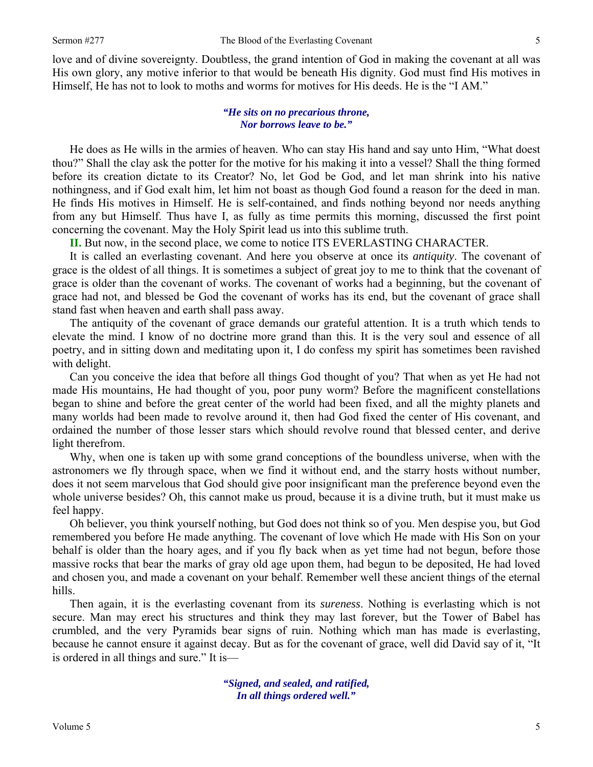5

love and of divine sovereignty. Doubtless, the grand intention of God in making the covenant at all was His own glory, any motive inferior to that would be beneath His dignity. God must find His motives in Himself, He has not to look to moths and worms for motives for His deeds. He is the "I AM."

#### *"He sits on no precarious throne, Nor borrows leave to be."*

He does as He wills in the armies of heaven. Who can stay His hand and say unto Him, "What doest thou?" Shall the clay ask the potter for the motive for his making it into a vessel? Shall the thing formed before its creation dictate to its Creator? No, let God be God, and let man shrink into his native nothingness, and if God exalt him, let him not boast as though God found a reason for the deed in man. He finds His motives in Himself. He is self-contained, and finds nothing beyond nor needs anything from any but Himself. Thus have I, as fully as time permits this morning, discussed the first point concerning the covenant. May the Holy Spirit lead us into this sublime truth.

**II.** But now, in the second place, we come to notice ITS EVERLASTING CHARACTER.

It is called an everlasting covenant. And here you observe at once its *antiquity*. The covenant of grace is the oldest of all things. It is sometimes a subject of great joy to me to think that the covenant of grace is older than the covenant of works. The covenant of works had a beginning, but the covenant of grace had not, and blessed be God the covenant of works has its end, but the covenant of grace shall stand fast when heaven and earth shall pass away.

The antiquity of the covenant of grace demands our grateful attention. It is a truth which tends to elevate the mind. I know of no doctrine more grand than this. It is the very soul and essence of all poetry, and in sitting down and meditating upon it, I do confess my spirit has sometimes been ravished with delight.

Can you conceive the idea that before all things God thought of you? That when as yet He had not made His mountains, He had thought of you, poor puny worm? Before the magnificent constellations began to shine and before the great center of the world had been fixed, and all the mighty planets and many worlds had been made to revolve around it, then had God fixed the center of His covenant, and ordained the number of those lesser stars which should revolve round that blessed center, and derive light therefrom.

Why, when one is taken up with some grand conceptions of the boundless universe, when with the astronomers we fly through space, when we find it without end, and the starry hosts without number, does it not seem marvelous that God should give poor insignificant man the preference beyond even the whole universe besides? Oh, this cannot make us proud, because it is a divine truth, but it must make us feel happy.

Oh believer, you think yourself nothing, but God does not think so of you. Men despise you, but God remembered you before He made anything. The covenant of love which He made with His Son on your behalf is older than the hoary ages, and if you fly back when as yet time had not begun, before those massive rocks that bear the marks of gray old age upon them, had begun to be deposited, He had loved and chosen you, and made a covenant on your behalf. Remember well these ancient things of the eternal hills.

Then again, it is the everlasting covenant from its *sureness*. Nothing is everlasting which is not secure. Man may erect his structures and think they may last forever, but the Tower of Babel has crumbled, and the very Pyramids bear signs of ruin. Nothing which man has made is everlasting, because he cannot ensure it against decay. But as for the covenant of grace, well did David say of it, "It is ordered in all things and sure." It is—

> *"Signed, and sealed, and ratified, In all things ordered well."*

Volume 5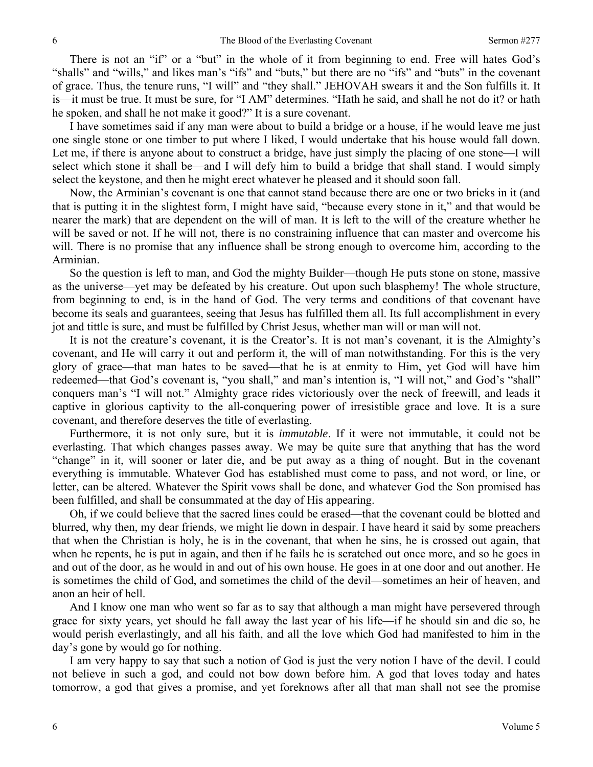There is not an "if" or a "but" in the whole of it from beginning to end. Free will hates God's "shalls" and "wills," and likes man's "ifs" and "buts," but there are no "ifs" and "buts" in the covenant of grace. Thus, the tenure runs, "I will" and "they shall." JEHOVAH swears it and the Son fulfills it. It is—it must be true. It must be sure, for "I AM" determines. "Hath he said, and shall he not do it? or hath he spoken, and shall he not make it good?" It is a sure covenant.

I have sometimes said if any man were about to build a bridge or a house, if he would leave me just one single stone or one timber to put where I liked, I would undertake that his house would fall down. Let me, if there is anyone about to construct a bridge, have just simply the placing of one stone—I will select which stone it shall be—and I will defy him to build a bridge that shall stand. I would simply select the keystone, and then he might erect whatever he pleased and it should soon fall.

Now, the Arminian's covenant is one that cannot stand because there are one or two bricks in it (and that is putting it in the slightest form, I might have said, "because every stone in it," and that would be nearer the mark) that are dependent on the will of man. It is left to the will of the creature whether he will be saved or not. If he will not, there is no constraining influence that can master and overcome his will. There is no promise that any influence shall be strong enough to overcome him, according to the Arminian.

So the question is left to man, and God the mighty Builder—though He puts stone on stone, massive as the universe—yet may be defeated by his creature. Out upon such blasphemy! The whole structure, from beginning to end, is in the hand of God. The very terms and conditions of that covenant have become its seals and guarantees, seeing that Jesus has fulfilled them all. Its full accomplishment in every jot and tittle is sure, and must be fulfilled by Christ Jesus, whether man will or man will not.

It is not the creature's covenant, it is the Creator's. It is not man's covenant, it is the Almighty's covenant, and He will carry it out and perform it, the will of man notwithstanding. For this is the very glory of grace—that man hates to be saved—that he is at enmity to Him, yet God will have him redeemed—that God's covenant is, "you shall," and man's intention is, "I will not," and God's "shall" conquers man's "I will not." Almighty grace rides victoriously over the neck of freewill, and leads it captive in glorious captivity to the all-conquering power of irresistible grace and love. It is a sure covenant, and therefore deserves the title of everlasting.

Furthermore, it is not only sure, but it is *immutable*. If it were not immutable, it could not be everlasting. That which changes passes away. We may be quite sure that anything that has the word "change" in it, will sooner or later die, and be put away as a thing of nought. But in the covenant everything is immutable. Whatever God has established must come to pass, and not word, or line, or letter, can be altered. Whatever the Spirit vows shall be done, and whatever God the Son promised has been fulfilled, and shall be consummated at the day of His appearing.

Oh, if we could believe that the sacred lines could be erased—that the covenant could be blotted and blurred, why then, my dear friends, we might lie down in despair. I have heard it said by some preachers that when the Christian is holy, he is in the covenant, that when he sins, he is crossed out again, that when he repents, he is put in again, and then if he fails he is scratched out once more, and so he goes in and out of the door, as he would in and out of his own house. He goes in at one door and out another. He is sometimes the child of God, and sometimes the child of the devil—sometimes an heir of heaven, and anon an heir of hell.

And I know one man who went so far as to say that although a man might have persevered through grace for sixty years, yet should he fall away the last year of his life—if he should sin and die so, he would perish everlastingly, and all his faith, and all the love which God had manifested to him in the day's gone by would go for nothing.

I am very happy to say that such a notion of God is just the very notion I have of the devil. I could not believe in such a god, and could not bow down before him. A god that loves today and hates tomorrow, a god that gives a promise, and yet foreknows after all that man shall not see the promise

6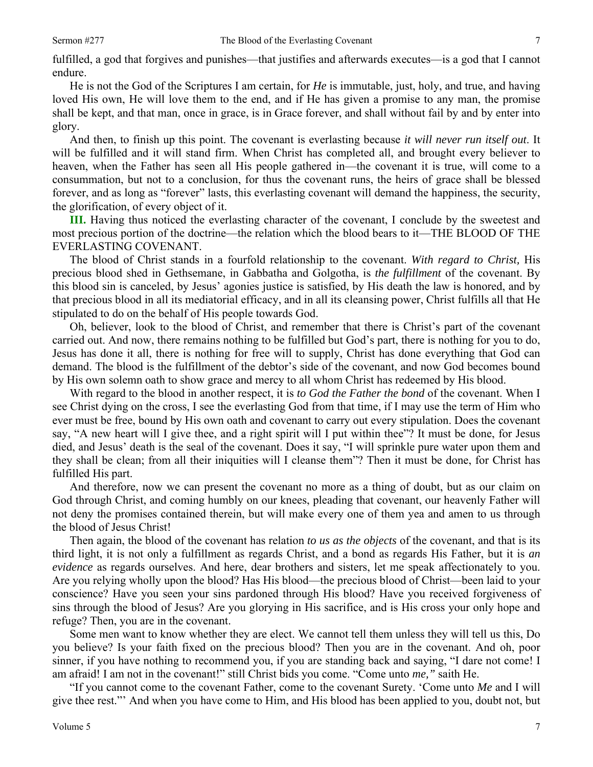fulfilled, a god that forgives and punishes—that justifies and afterwards executes—is a god that I cannot endure.

He is not the God of the Scriptures I am certain, for *He* is immutable, just, holy, and true, and having loved His own, He will love them to the end, and if He has given a promise to any man, the promise shall be kept, and that man, once in grace, is in Grace forever, and shall without fail by and by enter into glory.

And then, to finish up this point. The covenant is everlasting because *it will never run itself out*. It will be fulfilled and it will stand firm. When Christ has completed all, and brought every believer to heaven, when the Father has seen all His people gathered in—the covenant it is true, will come to a consummation, but not to a conclusion, for thus the covenant runs, the heirs of grace shall be blessed forever, and as long as "forever" lasts, this everlasting covenant will demand the happiness, the security, the glorification, of every object of it.

**III.** Having thus noticed the everlasting character of the covenant, I conclude by the sweetest and most precious portion of the doctrine—the relation which the blood bears to it—THE BLOOD OF THE EVERLASTING COVENANT.

The blood of Christ stands in a fourfold relationship to the covenant. *With regard to Christ,* His precious blood shed in Gethsemane, in Gabbatha and Golgotha, is *the fulfillment* of the covenant. By this blood sin is canceled, by Jesus' agonies justice is satisfied, by His death the law is honored, and by that precious blood in all its mediatorial efficacy, and in all its cleansing power, Christ fulfills all that He stipulated to do on the behalf of His people towards God.

Oh, believer, look to the blood of Christ, and remember that there is Christ's part of the covenant carried out. And now, there remains nothing to be fulfilled but God's part, there is nothing for you to do, Jesus has done it all, there is nothing for free will to supply, Christ has done everything that God can demand. The blood is the fulfillment of the debtor's side of the covenant, and now God becomes bound by His own solemn oath to show grace and mercy to all whom Christ has redeemed by His blood.

With regard to the blood in another respect, it is *to God the Father the bond* of the covenant. When I see Christ dying on the cross, I see the everlasting God from that time, if I may use the term of Him who ever must be free, bound by His own oath and covenant to carry out every stipulation. Does the covenant say, "A new heart will I give thee, and a right spirit will I put within thee"? It must be done, for Jesus died, and Jesus' death is the seal of the covenant. Does it say, "I will sprinkle pure water upon them and they shall be clean; from all their iniquities will I cleanse them"? Then it must be done, for Christ has fulfilled His part.

And therefore, now we can present the covenant no more as a thing of doubt, but as our claim on God through Christ, and coming humbly on our knees, pleading that covenant, our heavenly Father will not deny the promises contained therein, but will make every one of them yea and amen to us through the blood of Jesus Christ!

Then again, the blood of the covenant has relation *to us as the objects* of the covenant, and that is its third light, it is not only a fulfillment as regards Christ, and a bond as regards His Father, but it is *an evidence* as regards ourselves. And here, dear brothers and sisters, let me speak affectionately to you. Are you relying wholly upon the blood? Has His blood—the precious blood of Christ—been laid to your conscience? Have you seen your sins pardoned through His blood? Have you received forgiveness of sins through the blood of Jesus? Are you glorying in His sacrifice, and is His cross your only hope and refuge? Then, you are in the covenant.

Some men want to know whether they are elect. We cannot tell them unless they will tell us this, Do you believe? Is your faith fixed on the precious blood? Then you are in the covenant. And oh, poor sinner, if you have nothing to recommend you, if you are standing back and saying, "I dare not come! I am afraid! I am not in the covenant!" still Christ bids you come. "Come unto *me,"* saith He.

"If you cannot come to the covenant Father, come to the covenant Surety. 'Come unto *Me* and I will give thee rest."' And when you have come to Him, and His blood has been applied to you, doubt not, but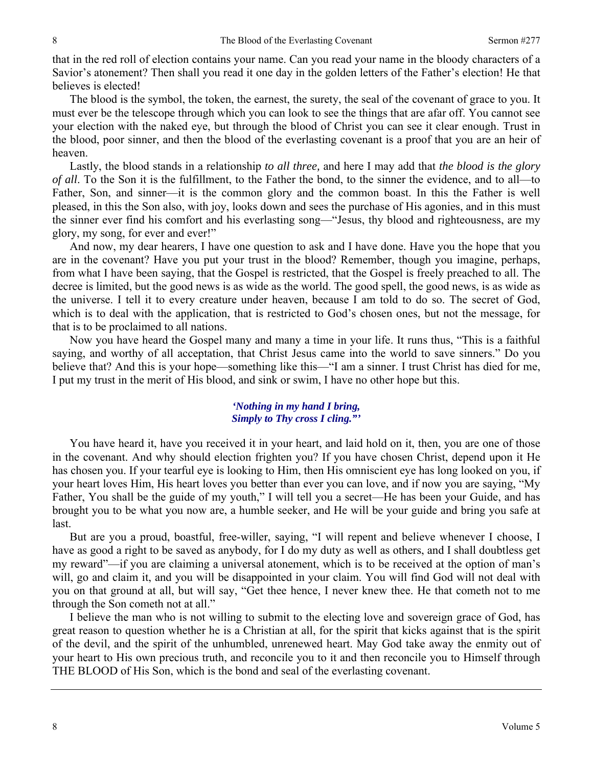that in the red roll of election contains your name. Can you read your name in the bloody characters of a Savior's atonement? Then shall you read it one day in the golden letters of the Father's election! He that believes is elected!

The blood is the symbol, the token, the earnest, the surety, the seal of the covenant of grace to you. It must ever be the telescope through which you can look to see the things that are afar off. You cannot see your election with the naked eye, but through the blood of Christ you can see it clear enough. Trust in the blood, poor sinner, and then the blood of the everlasting covenant is a proof that you are an heir of heaven.

Lastly, the blood stands in a relationship *to all three,* and here I may add that *the blood is the glory of all*. To the Son it is the fulfillment, to the Father the bond, to the sinner the evidence, and to all—to Father, Son, and sinner—it is the common glory and the common boast. In this the Father is well pleased, in this the Son also, with joy, looks down and sees the purchase of His agonies, and in this must the sinner ever find his comfort and his everlasting song—"Jesus, thy blood and righteousness, are my glory, my song, for ever and ever!"

And now, my dear hearers, I have one question to ask and I have done. Have you the hope that you are in the covenant? Have you put your trust in the blood? Remember, though you imagine, perhaps, from what I have been saying, that the Gospel is restricted, that the Gospel is freely preached to all. The decree is limited, but the good news is as wide as the world. The good spell, the good news, is as wide as the universe. I tell it to every creature under heaven, because I am told to do so. The secret of God, which is to deal with the application, that is restricted to God's chosen ones, but not the message, for that is to be proclaimed to all nations.

Now you have heard the Gospel many and many a time in your life. It runs thus, "This is a faithful saying, and worthy of all acceptation, that Christ Jesus came into the world to save sinners." Do you believe that? And this is your hope—something like this—"I am a sinner. I trust Christ has died for me, I put my trust in the merit of His blood, and sink or swim, I have no other hope but this.

#### *'Nothing in my hand I bring, Simply to Thy cross I cling."'*

You have heard it, have you received it in your heart, and laid hold on it, then, you are one of those in the covenant. And why should election frighten you? If you have chosen Christ, depend upon it He has chosen you. If your tearful eye is looking to Him, then His omniscient eye has long looked on you, if your heart loves Him, His heart loves you better than ever you can love, and if now you are saying, "My Father, You shall be the guide of my youth," I will tell you a secret—He has been your Guide, and has brought you to be what you now are, a humble seeker, and He will be your guide and bring you safe at last.

But are you a proud, boastful, free-willer, saying, "I will repent and believe whenever I choose, I have as good a right to be saved as anybody, for I do my duty as well as others, and I shall doubtless get my reward"—if you are claiming a universal atonement, which is to be received at the option of man's will, go and claim it, and you will be disappointed in your claim. You will find God will not deal with you on that ground at all, but will say, "Get thee hence, I never knew thee. He that cometh not to me through the Son cometh not at all."

I believe the man who is not willing to submit to the electing love and sovereign grace of God, has great reason to question whether he is a Christian at all, for the spirit that kicks against that is the spirit of the devil, and the spirit of the unhumbled, unrenewed heart. May God take away the enmity out of your heart to His own precious truth, and reconcile you to it and then reconcile you to Himself through THE BLOOD of His Son, which is the bond and seal of the everlasting covenant.